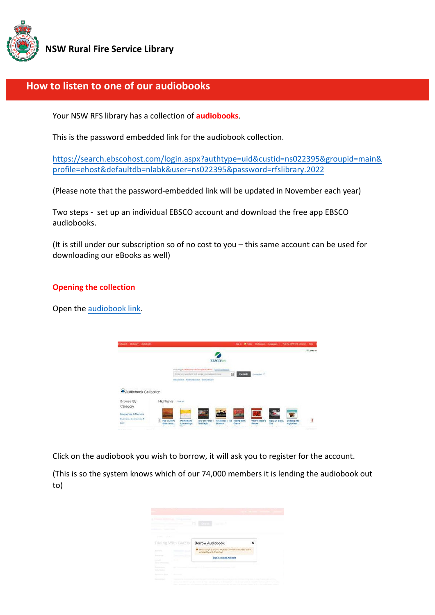

**NSW Rural Fire Service Library** 

# **How to listen to one of our audiobooks**

Your NSW RFS library has a collection of **audiobooks**.

This is the password embedded link for the audiobook collection.

[https://search.ebscohost.com/login.aspx?authtype=uid&custid=ns022395&groupid=main&](https://search.ebscohost.com/login.aspx?authtype=uid&custid=ns022395&groupid=main&profile=ehost&defaultdb=nlabk&user=ns022395&password=rfslibrary.2022) [profile=ehost&defaultdb=nlabk&user=ns022395&password=rfslibrary.202](https://search.ebscohost.com/login.aspx?authtype=uid&custid=ns022395&groupid=main&profile=ehost&defaultdb=nlabk&user=ns022395&password=rfslibrary.2022)2

(Please note that the password-embedded link will be updated in November each year)

Two steps - set up an individual EBSCO account and download the free app EBSCO audiobooks.

(It is still under our subscription so of no cost to you – this same account can be used for downloading our eBooks as well)

## **Opening the collection**

Open the [audiobook link.](https://search.ebscohost.com/login.aspx?authtype=uid&custid=ns022395&groupid=main&profile=ehost&defaultdb=nlabk&user=ns022395&password=rfslibrary.2022)

| Dickower Autobacks<br><b>Irw Teventh</b>                                   |                                                                               | <b>Basic Sec</b>                                    |                           | <b>Wilder Polleyron Languages</b> | AM I'M NSW \$8'S Libraries   Help |                          |
|----------------------------------------------------------------------------|-------------------------------------------------------------------------------|-----------------------------------------------------|---------------------------|-----------------------------------|-----------------------------------|--------------------------|
|                                                                            |                                                                               |                                                     |                           |                                   |                                   | UL Brary Lo              |
|                                                                            |                                                                               | <b>EBSCOhost</b>                                    |                           |                                   |                                   |                          |
|                                                                            | featuring Audiobook Callermon (1115CONNET) : Choose Databased                 |                                                     |                           |                                   |                                   |                          |
|                                                                            | Eirlar any words to fird books, journals and more                             | E                                                   | <b>Crow Ave</b><br>Search |                                   |                                   |                          |
|                                                                            |                                                                               |                                                     |                           |                                   |                                   |                          |
|                                                                            | Basic Bearin, Allywood Search, Swech History<br>그 아직 그 도 저 주어진 거래? 그는 눈이 아버지? |                                                     |                           |                                   |                                   |                          |
| Audiobook Collection<br>Browse By<br>Highlights                            | Vew All                                                                       |                                                     |                           |                                   |                                   |                          |
|                                                                            |                                                                               | $-1$                                                |                           |                                   |                                   |                          |
| Category<br>Biographies & Membirs<br>Business, Economics &<br>Fire: A Very | <b>Contract</b><br><b>STEP</b><br><b>Tour De Force</b>                        | <b>Time</b><br><b>BESILIENCE</b><br>Resilience: The | 処<br><b>Where There's</b> |                                   |                                   | $\overline{\phantom{a}}$ |

Click on the audiobook you wish to borrow, it will ask you to register for the account.

(This is so the system knows which of our 74,000 members it is lending the audiobook out to)

| 1111<br><b>STAR</b><br>Riding With Glants       | <b>Borrow Audiobook</b><br>×                                                                |  |
|-------------------------------------------------|---------------------------------------------------------------------------------------------|--|
| <b>Subscript</b>                                | O Please sign in to your My EBSCOhost account to check.<br>--<br>availability and download. |  |
| Tommer and C<br><b>Call At</b><br><b>SILLER</b> | Sign In / Create Account                                                                    |  |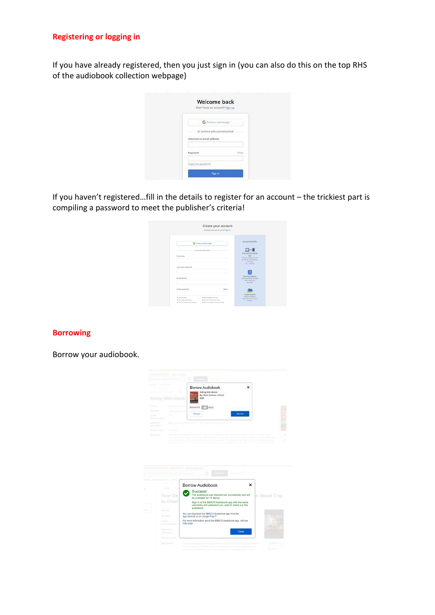## **Registering or logging in**

If you have already registered, then you just sign in (you can also do this on the top RHS of the audiobook collection webpage)

| <b>Welcome back</b><br>Don't have an account? Sign up. |      |
|--------------------------------------------------------|------|
| G continue with Google                                 |      |
| Or continue with username/email                        |      |
| Username or email address.                             |      |
| Password                                               | Show |
| Forgot your password?                                  |      |
| Sign in                                                |      |

If you haven't registered…fill in the details to register for an account – the trickiest part is compiling a password to meet the publisher's criteria!

| G Continue with Google<br>or continue with email<br>First name<br>Last name (optional)<br><b>Email address</b> | <b>Account henefits</b><br>$\square \leftrightarrow$<br>Sync with the mobile<br>300<br>Take your research on the<br>go. Search, read and listen<br>in the appl<br><b>OS LANSIN</b> |
|----------------------------------------------------------------------------------------------------------------|------------------------------------------------------------------------------------------------------------------------------------------------------------------------------------|
|                                                                                                                |                                                                                                                                                                                    |
|                                                                                                                |                                                                                                                                                                                    |
|                                                                                                                |                                                                                                                                                                                    |
|                                                                                                                |                                                                                                                                                                                    |
|                                                                                                                |                                                                                                                                                                                    |
|                                                                                                                | Download eBooks<br>Access thousands of eBook<br>tides to read and<br>download.                                                                                                     |
| Create password<br><b>Show</b>                                                                                 |                                                                                                                                                                                    |
| M. One number<br>M. Su character minimum.                                                                      | Create projects<br>Keep your research                                                                                                                                              |
| X One special character<br>30 Do not include unemany                                                           | organized within custom<br>projects.                                                                                                                                               |

#### **Borrowing**

Borrow your audiobook.